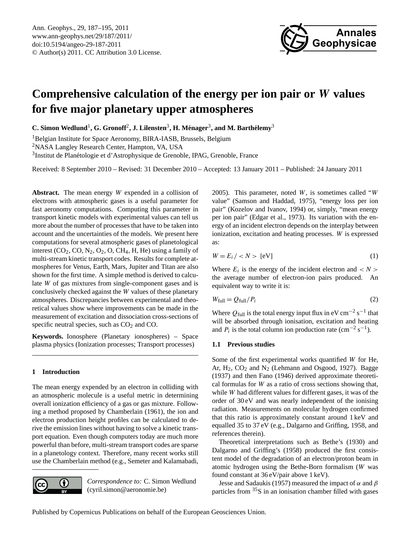

# <span id="page-0-0"></span>**Comprehensive calculation of the energy per ion pair or** W **values for five major planetary upper atmospheres**

 $C$ . Simon Wedlund<sup>1</sup>, G. Gronoff<sup>2</sup>, J. Lilensten<sup>3</sup>, H. Ménager<sup>3</sup>, and M. Barthélemy<sup>3</sup>

<sup>1</sup>Belgian Institute for Space Aeronomy, BIRA-IASB, Brussels, Belgium

<sup>2</sup>NASA Langley Research Center, Hampton, VA, USA

<sup>3</sup>Institut de Planétologie et d'Astrophysique de Grenoble, IPAG, Grenoble, France

Received: 8 September 2010 – Revised: 31 December 2010 – Accepted: 13 January 2011 – Published: 24 January 2011

Abstract. The mean energy W expended in a collision of electrons with atmospheric gases is a useful parameter for fast aeronomy computations. Computing this parameter in transport kinetic models with experimental values can tell us more about the number of processes that have to be taken into account and the uncertainties of the models. We present here computations for several atmospheric gases of planetological interest  $(CO_2, CO, N_2, O_2, O, CH_4, H, He)$  using a family of multi-stream kinetic transport codes. Results for complete atmospheres for Venus, Earth, Mars, Jupiter and Titan are also shown for the first time. A simple method is derived to calculate W of gas mixtures from single-component gases and is conclusively checked against the W values of these planetary atmospheres. Discrepancies between experimental and theoretical values show where improvements can be made in the measurement of excitation and dissociation cross-sections of specific neutral species, such as  $CO<sub>2</sub>$  and  $CO<sub>2</sub>$ .

**Keywords.** Ionosphere (Planetary ionospheres) – Space plasma physics (Ionization processes; Transport processes)

# **1 Introduction**

The mean energy expended by an electron in colliding with an atmospheric molecule is a useful metric in determining overall ionization efficiency of a gas or gas mixture. Following a method proposed by Chamberlain (1961), the ion and electron production height profiles can be calculated to derive the emission lines without having to solve a kinetic transport equation. Even though computers today are much more powerful than before, multi-stream transport codes are sparse in a planetology context. Therefore, many recent works still use the Chamberlain method (e.g., Semeter and Kalamabadi,



*Correspondence to:* C. Simon Wedlund (cyril.simon@aeronomie.be)

2005). This parameter, noted  $W$ , is sometimes called "W value" (Samson and Haddad, 1975), "energy loss per ion pair" (Kozelov and Ivanov, 1994) or, simply, "mean energy per ion pair" (Edgar et al., 1973). Its variation with the energy of an incident electron depends on the interplay between ionization, excitation and heating processes. W is expressed as:

$$
W = E_i / \langle N \rangle \text{ [eV]} \tag{1}
$$

Where  $E_i$  is the energy of the incident electron and  $\langle N \rangle$ the average number of electron-ion pairs produced. An equivalent way to write it is:

$$
W_{\text{full}} = Q_{\text{full}} / P_i \tag{2}
$$

Where  $Q_{\text{full}}$  is the total energy input flux in eV cm<sup>-2</sup> s<sup>-1</sup> that will be absorbed through ionisation, excitation and heating and  $P_i$  is the total column ion production rate (cm<sup>-2</sup> s<sup>-1</sup>).

### **1.1 Previous studies**

Some of the first experimental works quantified W for He, Ar,  $H_2$ ,  $CO_2$  and  $N_2$  (Lehmann and Osgood, 1927). Bagge (1937) and then Fano (1946) derived approximate theoretical formulas for W as a ratio of cross sections showing that, while W had different values for different gases, it was of the order of 30 eV and was nearly independent of the ionising radiation. Measurements on molecular hydrogen confirmed that this ratio is approximately constant around 1 keV and equalled 35 to 37 eV (e.g., Dalgarno and Griffing, 1958, and references therein).

Theoretical interpretations such as Bethe's (1930) and Dalgarno and Griffing's (1958) produced the first consistent model of the degradation of an electron/proton beam in atomic hydrogen using the Bethe-Born formalism (W was found constant at 36 eV/pair above 1 keV).

Jesse and Sadaukis (1957) measured the impact of  $\alpha$  and  $\beta$ particles from  $35S$  in an ionisation chamber filled with gases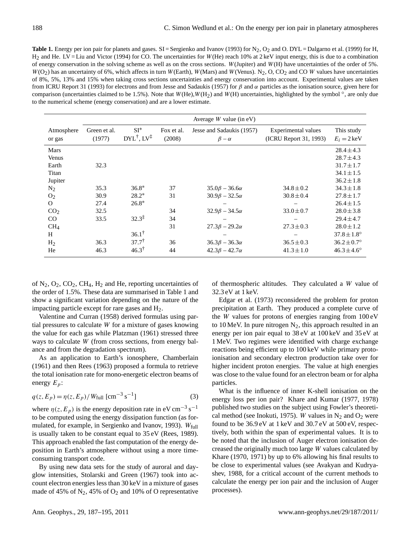<span id="page-1-0"></span>Table 1. Energy per ion pair for planets and gases. SI = Sergienko and Ivanov (1993) for N<sub>2</sub>, O<sub>2</sub> and O. DYL = Dalgarno et al. (1999) for H, H2 and He. LV = Liu and Victor (1994) for CO. The uncertainties for W(He) reach 10% at 2 keV input energy, this is due to a combination of energy conservation in the solving scheme as well as on the cross sections. W(Jupiter) and W(H) have uncertainties of the order of 5%.  $W(O<sub>2</sub>)$  has an uncertainty of 6%, which affects in turn W(Earth), W(Mars) and W(Venus). N<sub>2</sub>, O, CO<sub>2</sub> and CO W values have uncertainties of 8%, 5%, 13% and 15% when taking cross sections uncertainties and energy conservation into account. Experimental values are taken from ICRU Report 31 (1993) for electrons and from Jesse and Sadaukis (1957) for β and α particles as the ionisation source, given here for comparison (uncertainties claimed to be 1.5%). Note that  $W(\text{He})$ ,  $W(\text{H}_2)$  and  $W(\text{H})$  uncertainties, highlighted by the symbol  $\degree$ , are only due to the numerical scheme (energy conservation) and are a lower estimate.

|                      | Average $W$ value (in eV) |                                             |                      |                                             |                                               |                                     |
|----------------------|---------------------------|---------------------------------------------|----------------------|---------------------------------------------|-----------------------------------------------|-------------------------------------|
| Atmosphere<br>or gas | Green et al.<br>(1977)    | $SI^*$<br>$DYL^{\dagger}$ , $LV^{\ddagger}$ | Fox et al.<br>(2008) | Jesse and Sadaukis (1957)<br>$\beta-\alpha$ | Experimental values<br>(ICRU Report 31, 1993) | This study<br>$E_i = 2 \text{ keV}$ |
| Mars                 |                           |                                             |                      |                                             |                                               | $28.4 \pm 4.3$                      |
| Venus                |                           |                                             |                      |                                             |                                               | $28.7 \pm 4.3$                      |
| Earth                | 32.3                      |                                             |                      |                                             |                                               | $31.7 \pm 1.7$                      |
| Titan                |                           |                                             |                      |                                             |                                               | $34.1 \pm 1.5$                      |
| Jupiter              |                           |                                             |                      |                                             |                                               | $36.2 \pm 1.8$                      |
| $N_2$                | 35.3                      | $36.8*$                                     | 37                   | $35.0\beta - 36.6\alpha$                    | $34.8 \pm 0.2$                                | $34.3 \pm 1.8$                      |
| O <sub>2</sub>       | 30.9                      | $28.2*$                                     | 31                   | $30.9\beta - 32.5\alpha$                    | $30.8 \pm 0.4$                                | $27.8 \pm 1.7$                      |
| $\Omega$             | 27.4                      | $26.8*$                                     |                      |                                             |                                               | $26.4 \pm 1.5$                      |
| CO <sub>2</sub>      | 32.5                      |                                             | 34                   | $32.9\beta - 34.5\alpha$                    | $33.0 \pm 0.7$                                | $28.0 \pm 3.8$                      |
| $\rm CO$             | 33.5                      | $32.3^{\ddagger}$                           | 34                   |                                             |                                               | $29.4 \pm 4.7$                      |
| CH <sub>4</sub>      |                           |                                             | 31                   | $27.3\beta - 29.2\alpha$                    | $27.3 \pm 0.3$                                | $28.0 \pm 1.2$                      |
| H                    |                           | $36.1^{\dagger}$                            |                      |                                             |                                               | $37.8 \pm 1.8^{\circ}$              |
| H <sub>2</sub>       | 36.3                      | $37.7^{\dagger}$                            | 36                   | $36.3\beta - 36.3\alpha$                    | $36.5 \pm 0.3$                                | $36.2 \pm 0.7^{\circ}$              |
| He                   | 46.3                      | $46.3^{\dagger}$                            | 44                   | $42.3\beta - 42.7\alpha$                    | $41.3 \pm 1.0$                                | $46.3 \pm 4.6^{\circ}$              |

of  $N_2$ ,  $O_2$ ,  $CO_2$ ,  $CH_4$ ,  $H_2$  and He, reporting uncertainties of the order of 1.5%. These data are summarised in Table [1](#page-1-0) and show a significant variation depending on the nature of the impacting particle except for rare gases and H2.

Valentine and Curran (1958) derived formulas using partial pressures to calculate W for a mixture of gases knowing the value for each gas while Platzman (1961) stressed three ways to calculate W (from cross sections, from energy balance and from the degradation spectrum).

As an application to Earth's ionosphere, Chamberlain (1961) and then Rees (1963) proposed a formula to retrieve the total ionisation rate for mono-energetic electron beams of energy  $E_p$ :

$$
q(z, E_p) = \eta(z, E_p) / W_{\text{full}} \, [\text{cm}^{-3} \, \text{s}^{-1}] \tag{3}
$$

where  $\eta(z, E_p)$  is the energy deposition rate in eV cm<sup>-3</sup> s<sup>-1</sup> to be computed using the energy dissipation function (as formulated, for example, in Sergienko and Ivanov, 1993). Wfull is usually taken to be constant equal to 35 eV (Rees, 1989). This approach enabled the fast computation of the energy deposition in Earth's atmosphere without using a more timeconsuming transport code.

By using new data sets for the study of auroral and dayglow intensities, Stolarski and Green (1967) took into account electron energies less than 30 keV in a mixture of gases made of 45% of  $N_2$ , 45% of  $O_2$  and 10% of O representative of thermospheric altitudes. They calculated a W value of 32.3 eV at 1 keV.

Edgar et al. (1973) reconsidered the problem for proton precipitation at Earth. They produced a complete curve of the W values for protons of energies ranging from 100 eV to 10 MeV. In pure nitrogen  $N_2$ , this approach resulted in an energy per ion pair equal to 38 eV at 100 keV and 35 eV at 1 MeV. Two regimes were identified with charge exchange reactions being efficient up to 100 keV while primary protoionisation and secondary electron production take over for higher incident proton energies. The value at high energies was close to the value found for an electron beam or for alpha particles.

What is the influence of inner K-shell ionisation on the energy loss per ion pair? Khare and Kumar (1977, 1978) published two studies on the subject using Fowler's theoretical method (see Inokuti, 1975). W values in  $N_2$  and  $O_2$  were found to be 36.9 eV at 1 keV and 30.7 eV at 500 eV, respectively, both within the span of experimental values. It is to be noted that the inclusion of Auger electron ionisation decreased the originally much too large W values calculated by Khare (1970, 1971) by up to 6% allowing his final results to be close to experimental values (see Avakyan and Kudryashev, 1988, for a critical account of the current methods to calculate the energy per ion pair and the inclusion of Auger processes).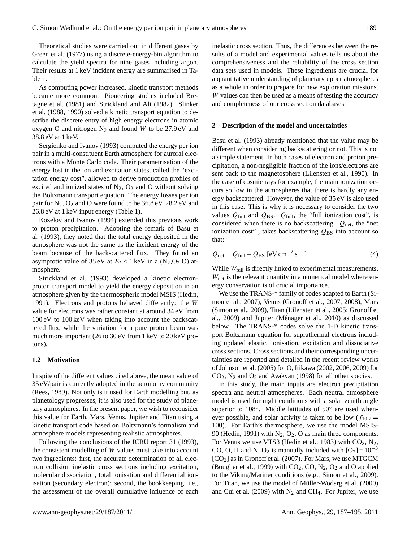Theoretical studies were carried out in different gases by Green et al. (1977) using a discrete-energy-bin algorithm to calculate the yield spectra for nine gases including argon. Their results at 1 keV incident energy are summarised in Table [1.](#page-1-0)

As computing power increased, kinetic transport methods became more common. Pioneering studies included Bretagne et al. (1981) and Strickland and Ali (1982). Slinker et al. (1988, 1990) solved a kinetic transport equation to describe the discrete entry of high energy electrons in atomic oxygen O and nitrogen  $N_2$  and found W to be 27.9 eV and 38.8 eV at 1 keV.

Sergienko and Ivanov (1993) computed the energy per ion pair in a multi-constituent Earth atmosphere for auroral electrons with a Monte Carlo code. Their parametrisation of the energy lost in the ion and excitation states, called the "excitation energy cost", allowed to derive production profiles of excited and ionized states of  $N_2$ ,  $O_2$  and O without solving the Boltzmann transport equation. The energy losses per ion pair for  $N_2$ ,  $O_2$  and O were found to be 36.8 eV, 28.2 eV and 26.8 eV at 1 keV input energy (Table [1\)](#page-1-0).

Kozelov and Ivanov (1994) extended this previous work to proton precipitation. Adopting the remark of Basu et al. (1993), they noted that the total energy deposited in the atmosphere was not the same as the incident energy of the beam because of the backscattered flux. They found an asymptotic value of 35 eV at  $E_i \le 1$  keV in a (N<sub>2</sub>,O<sub>2</sub>,O) atmosphere.

Strickland et al. (1993) developed a kinetic electronproton transport model to yield the energy deposition in an atmosphere given by the thermospheric model MSIS (Hedin, 1991). Electrons and protons behaved differently: the W value for electrons was rather constant at around 34 eV from 100 eV to 100 keV when taking into account the backscattered flux, while the variation for a pure proton beam was much more important (26 to 30 eV from 1 keV to 20 keV protons).

#### **1.2 Motivation**

In spite of the different values cited above, the mean value of 35 eV/pair is currently adopted in the aeronomy community (Rees, 1989). Not only is it used for Earth modelling but, as planetology progresses, it is also used for the study of planetary atmospheres. In the present paper, we wish to reconsider this value for Earth, Mars, Venus, Jupiter and Titan using a kinetic transport code based on Boltzmann's formalism and atmosphere models representing realistic atmospheres.

Following the conclusions of the ICRU report 31 (1993), the consistent modelling of W values must take into account two ingredients: first, the accurate determination of all electron collision inelastic cross sections including excitation, molecular dissociation, total ionisation and differential ionisation (secondary electron); second, the bookkeeping, i.e., the assessment of the overall cumulative influence of each inelastic cross section. Thus, the differences between the results of a model and experimental values tells us about the comprehensiveness and the reliability of the cross section data sets used in models. These ingredients are crucial for a quantitative understanding of planetary upper atmospheres as a whole in order to prepare for new exploration missions. W values can then be used as a means of testing the accuracy and completeness of our cross section databases.

#### **2 Description of the model and uncertainties**

Basu et al. (1993) already mentioned that the value may be different when considering backscattering or not. This is not a simple statement. In both cases of electron and proton precipitation, a non-negligible fraction of the ions/electrons are sent back to the magnetosphere (Lilensten et al., 1990). In the case of cosmic rays for example, the main ionization occurs so low in the atmospheres that there is hardly any energy backscattered. However, the value of 35 eV is also used in this case. This is why it is necessary to consider the two values  $Q_{\text{full}}$  and  $Q_{\text{BS}}$ .  $Q_{\text{full}}$ , the "full ionization cost", is considered when there is no backscattering.  $Q_{net}$ , the "net ionization cost", takes backscattering  $Q_{\text{BS}}$  into account so that:

$$
Q_{\text{net}} = Q_{\text{full}} - Q_{\text{BS}} \left[ eV \, \text{cm}^{-2} \, \text{s}^{-1} \right] \tag{4}
$$

While  $W_{\text{full}}$  is directly linked to experimental measurements,  $W<sub>net</sub>$  is the relevant quantity in a numerical model where energy conservation is of crucial importance.

We use the TRANS-\* family of codes adapted to Earth (Simon et al., 2007), Venus (Gronoff et al., 2007, 2008), Mars (Simon et al., 2009), Titan (Lilensten et al., 2005; Gronoff et al., 2009) and Jupiter (Ménager et al., 2010) as discussed below. The TRANS-\* codes solve the 1-D kinetic transport Boltzmann equation for suprathermal electrons including updated elastic, ionisation, excitation and dissociative cross sections. Cross sections and their corresponding uncertainties are reported and detailed in the recent review works of Johnson et al. (2005) for O, Itikawa (2002, 2006, 2009) for  $CO<sub>2</sub>$ , N<sub>2</sub> and  $O<sub>2</sub>$  and Avakyan (1998) for all other species.

In this study, the main inputs are electron precipitation spectra and neutral atmospheres. Each neutral atmosphere model is used for night conditions with a solar zenith angle superior to 108°. Middle latitudes of 50° are used whenever possible, and solar activity is taken to be low  $(f_{10.7} =$ 100). For Earth's thermosphere, we use the model MSIS-90 (Hedin, 1991) with  $N_2$ ,  $O_2$ , O as main three components. For Venus we use VTS3 (Hedin et al., 1983) with  $CO_2$ ,  $N_2$ , CO, O, H and N. O<sub>2</sub> is manually included with  $[O_2] = 10^{-3}$  $[CO<sub>2</sub>]$  as in Gronoff et al. (2007). For Mars, we use MTGCM (Bougher et al., 1999) with  $CO_2$ ,  $CO$ ,  $N_2$ ,  $O_2$  and O applied to the Viking/Mariner conditions (e.g., Simon et al., 2009). For Titan, we use the model of Müller-Wodarg et al. (2000) and Cui et al. (2009) with  $N_2$  and CH<sub>4</sub>. For Jupiter, we use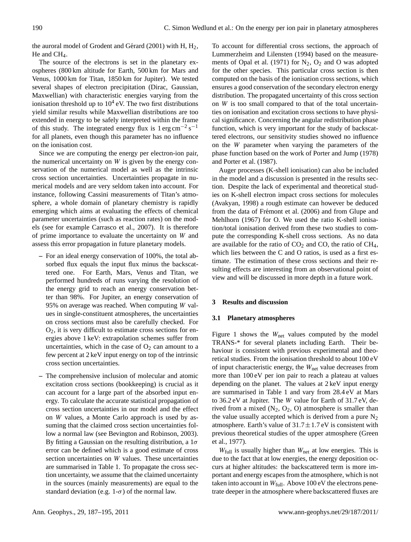the auroral model of Grodent and Gérard (2001) with  $H$ ,  $H_2$ , He and  $CH<sub>4</sub>$ .

The source of the electrons is set in the planetary exospheres (800 km altitude for Earth, 500 km for Mars and Venus, 1000 km for Titan, 1850 km for Jupiter). We tested several shapes of electron precipitation (Dirac, Gaussian, Maxwellian) with characteristic energies varying from the ionisation threshold up to  $10<sup>4</sup>$  eV. The two first distributions yield similar results while Maxwellian distributions are too extended in energy to be safely interpreted within the frame of this study. The integrated energy flux is  $1 \text{ erg cm}^{-2} \text{ s}^{-1}$ for all planets, even though this parameter has no influence on the ionisation cost.

Since we are computing the energy per electron-ion pair, the numerical uncertainty on  $W$  is given by the energy conservation of the numerical model as well as the intrinsic cross section uncertainties. Uncertainties propagate in numerical models and are very seldom taken into account. For instance, following Cassini measurements of Titan's atmosphere, a whole domain of planetary chemistry is rapidly emerging which aims at evaluating the effects of chemical parameter uncertainties (such as reaction rates) on the models (see for example Carrasco et al., 2007). It is therefore of prime importance to evaluate the uncertainty on W and assess this error propagation in future planetary models.

- **–** For an ideal energy conservation of 100%, the total absorbed flux equals the input flux minus the backscattered one. For Earth, Mars, Venus and Titan, we performed hundreds of runs varying the resolution of the energy grid to reach an energy conservation better than 98%. For Jupiter, an energy conservation of 95% on average was reached. When computing W values in single-constituent atmospheres, the uncertainties on cross sections must also be carefully checked. For  $O<sub>2</sub>$ , it is very difficult to estimate cross sections for energies above 1 keV: extrapolation schemes suffer from uncertainties, which in the case of  $O_2$  can amount to a few percent at 2 keV input energy on top of the intrinsic cross section uncertainties.
- **–** The comprehensive inclusion of molecular and atomic excitation cross sections (bookkeeping) is crucial as it can account for a large part of the absorbed input energy. To calculate the accurate statistical propagation of cross section uncertainties in our model and the effect on W values, a Monte Carlo approach is used by assuming that the claimed cross section uncertainties follow a normal law (see Bevington and Robinson, 2003). By fitting a Gaussian on the resulting distribution, a  $1\sigma$ error can be defined which is a good estimate of cross section uncertainties on W values. These uncertainties are summarised in Table [1.](#page-1-0) To propagate the cross section uncertainty, we assume that the claimed uncertainty in the sources (mainly measurements) are equal to the standard deviation (e.g.  $1-\sigma$ ) of the normal law.

To account for differential cross sections, the approach of Lummerzheim and Lilensten (1994) based on the measurements of Opal et al. (1971) for  $N_2$ ,  $O_2$  and O was adopted for the other species. This particular cross section is then computed on the basis of the ionisation cross sections, which ensures a good conservation of the secondary electron energy distribution. The propagated uncertainty of this cross section on W is too small compared to that of the total uncertainties on ionisation and excitation cross sections to have physical significance. Concerning the angular redistribution phase function, which is very important for the study of backscattered electrons, our sensitivity studies showed no influence on the W parameter when varying the parameters of the phase function based on the work of Porter and Jump (1978) and Porter et al. (1987).

Auger processes (K-shell ionisation) can also be included in the model and a discussion is presented in the results section. Despite the lack of experimental and theoretical studies on K-shell electron impact cross sections for molecules (Avakyan, 1998) a rough estimate can however be deduced from the data of Frémont et al. (2006) and from Glupe and Mehlhorn (1967) for O. We used the ratio K-shell ionisation/total ionisation derived from these two studies to compute the corresponding K-shell cross sections. As no data are available for the ratio of  $CO<sub>2</sub>$  and CO, the ratio of CH<sub>4</sub>, which lies between the C and O ratios, is used as a first estimate. The estimation of these cross sections and their resulting effects are interesting from an observational point of view and will be discussed in more depth in a future work.

# **3 Results and discussion**

## **3.1 Planetary atmospheres**

Figure [1](#page-4-0) shows the  $W_{\text{net}}$  values computed by the model TRANS-\* for several planets including Earth. Their behaviour is consistent with previous experimental and theoretical studies. From the ionisation threshold to about 100 eV of input characteristic energy, the  $W<sub>net</sub>$  value decreases from more than 100 eV per ion pair to reach a plateau at values depending on the planet. The values at 2 keV input energy are summarised in Table [1](#page-1-0) and vary from 28.4 eV at Mars to 36.2 eV at Jupiter. The W value for Earth of 31.7 eV, derived from a mixed  $(N_2, O_2, O)$  atmosphere is smaller than the value usually accepted which is derived from a pure  $N_2$ atmosphere. Earth's value of  $31.7 \pm 1.7$  eV is consistent with previous theoretical studies of the upper atmosphere (Green et al., 1977).

 $W_{\text{full}}$  is usually higher than  $W_{\text{net}}$  at low energies. This is due to the fact that at low energies, the energy deposition occurs at higher altitudes: the backscattered term is more important and energy escapes from the atmosphere, which is not taken into account in  $W_{\text{full}}$ . Above 100 eV the electrons penetrate deeper in the atmosphere where backscattered fluxes are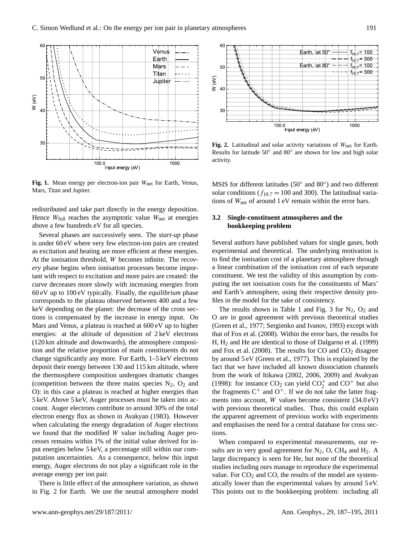

<span id="page-4-0"></span>Fig. 1. Mean energy per electron-ion pair W<sub>net</sub> for Earth, Venus, Mars, Titan and Jupiter.

redistributed and take part directly in the energy deposition. Hence  $W_{\text{full}}$  reaches the asymptotic value  $W_{\text{net}}$  at energies above a few hundreds eV for all species.

Several phases are successively seen. The *start-up* phase is under 60 eV where very few electron-ion pairs are created as excitation and heating are more efficient at these energies. At the ionisation threshold, W becomes infinite. The *recovery* phase begins when ionisation processes become important with respect to excitation and more pairs are created: the curve decreases more slowly with increasing energies from 60 eV up to 100 eV typically. Finally, the *equilibrium* phase corresponds to the plateau observed between 400 and a few keV depending on the planet: the decrease of the cross sections is compensated by the increase in energy input. On Mars and Venus, a plateau is reached at 600 eV up to higher energies: at the altitude of deposition of 2 keV electrons (120 km altitude and downwards), the atmosphere composition and the relative proportion of main constituents do not change significantly any more. For Earth, 1–5 keV electrons deposit their energy between 130 and 115 km altitude, where the thermosphere composition undergoes dramatic changes (competition between the three mains species  $N_2$ ,  $O_2$  and O): in this case a plateau is reached at higher energies than 5 keV. Above 5 keV, Auger processes must be taken into account. Auger electrons contribute to around 30% of the total electron energy flux as shown in Avakyan (1983). However when calculating the energy degradation of Auger electrons we found that the modified W value including Auger processes remains within 1% of the initial value derived for input energies below 5 keV, a percentage still within our computation uncertainties. As a consequence, below this input energy, Auger electrons do not play a significant role in the average energy per ion pair.

There is little effect of the atmosphere variation, as shown in Fig. [2](#page-4-1) for Earth. We use the neutral atmosphere model



<span id="page-4-1"></span>Fig. 2. Latitudinal and solar activity variations of W<sub>net</sub> for Earth. Results for latitude 50° and 80° are shown for low and high solar activity.

MSIS for different latitudes (50° and 80°) and two different solar conditions ( $f_{10.7} = 100$  and 300). The latitudinal variations of  $W_{\text{net}}$  of around 1 eV remain within the error bars.

# **3.2 Single-constituent atmospheres and the bookkeeping problem**

Several authors have published values for single gases, both experimental and theoretical. The underlying motivation is to find the ionisation cost of a planetary atmosphere through a linear combination of the ionisation cost of each separate constituent. We test the validity of this assumption by computing the net ionisation costs for the constituents of Mars' and Earth's atmosphere, using their respective density profiles in the model for the sake of consistency.

The results shown in Table [1](#page-1-0) and Fig. [3](#page-5-0) for  $N_2$ ,  $O_2$  and O are in good agreement with previous theoretical studies (Green et al., 1977; Sergienko and Ivanov, 1993) except with that of Fox et al. (2008). Within the error bars, the results for  $H, H<sub>2</sub>$  and He are identical to those of Dalgarno et al. (1999) and Fox et al. (2008). The results for  $CO$  and  $CO<sub>2</sub>$  disagree by around 5 eV (Green et al., 1977). This is explained by the fact that we have included all known dissociation channels from the work of Itikawa (2002, 2006, 2009) and Avakyan (1998): for instance  $CO_2$  can yield  $CO_2^+$  and  $CO^+$  but also the fragments  $C^+$  and  $O^+$ . If we do not take the latter fragments into account, W values become consistent (34.0 eV) with previous theoretical studies. Thus, this could explain the apparent agreement of previous works with experiments and emphasises the need for a central database for cross sections.

When compared to experimental measurements, our results are in very good agreement for  $N_2$ , O, CH<sub>4</sub> and H<sub>2</sub>. A large discrepancy is seen for He, but none of the theoretical studies including ours manage to reproduce the experimental value. For  $CO<sub>2</sub>$  and  $CO$ , the results of the model are systematically lower than the experimental values by around 5 eV. This points out to the bookkeeping problem: including all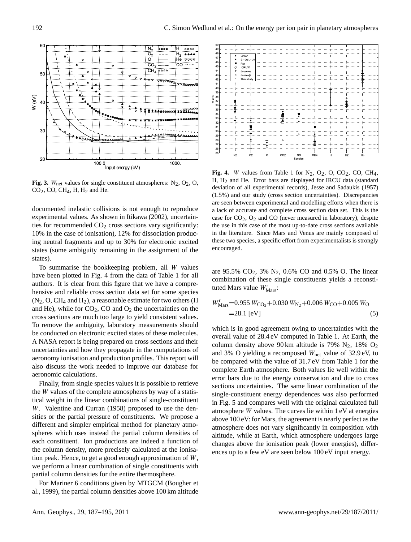

<span id="page-5-0"></span>**Fig. 3.** W<sub>net</sub> values for single constituent atmospheres:  $N_2$ ,  $O_2$ ,  $O$ ,  $CO<sub>2</sub>$ , CO, CH<sub>4</sub>, H, H<sub>2</sub> and He.

documented inelastic collisions is not enough to reproduce experimental values. As shown in Itikawa (2002), uncertainties for recommended  $CO<sub>2</sub>$  cross sections vary significantly: 10% in the case of ionisation), 12% for dissociation producing neutral fragments and up to 30% for electronic excited states (some ambiguity remaining in the assignment of the states).

To summarise the bookkeeping problem, all W values have been plotted in Fig. [4](#page-5-1) from the data of Table [1](#page-1-0) for all authors. It is clear from this figure that we have a comprehensive and reliable cross section data set for some species  $(N_2, O, CH_4$  and  $H_2$ ), a reasonable estimate for two others (H and He), while for  $CO<sub>2</sub>$ , CO and  $O<sub>2</sub>$  the uncertainties on the cross sections are much too large to yield consistent values. To remove the ambiguity, laboratory measurements should be conducted on electronic excited states of these molecules. A NASA report is being prepared on cross sections and their uncertainties and how they propagate in the computations of aeronomy ionisation and production profiles. This report will also discuss the work needed to improve our database for aeronomic calculations.

Finally, from single species values it is possible to retrieve the W values of the complete atmospheres by way of a statistical weight in the linear combinations of single-constituent W. Valentine and Curran (1958) proposed to use the densities or the partial pressure of constituents. We propose a different and simpler empirical method for planetary atmospheres which uses instead the partial column densities of each constituent. Ion productions are indeed a function of the column density, more precisely calculated at the ionisation peak. Hence, to get a good enough approximation of W, we perform a linear combination of single constituents with partial column densities for the entire thermosphere.

For Mariner 6 conditions given by MTGCM (Bougher et al., 1999), the partial column densities above 100 km altitude



<span id="page-5-1"></span>**Fig. 4.** W values from Table [1](#page-1-0) for  $N_2$ ,  $O_2$ ,  $O$ ,  $CO_2$ ,  $CO$ ,  $CH_4$ , H,  $H_2$  and He. Error bars are displayed for IRCU data (standard deviation of all experimental records), Jesse and Sadaukis (1957) (1.5%) and our study (cross section uncertainties). Discrepancies are seen between experimental and modelling efforts when there is a lack of accurate and complete cross section data set. This is the case for  $CO<sub>2</sub>$ ,  $O<sub>2</sub>$  and CO (never measured in laboratory), despite the use in this case of the most up-to-date cross sections available in the literature. Since Mars and Venus are mainly composed of these two species, a specific effort from experimentalists is strongly encouraged.

are  $95.5\%$  CO<sub>2</sub>,  $3\%$  N<sub>2</sub>, 0.6% CO and 0.5% O. The linear combination of these single constituents yields a reconstituted Mars value  $W_{\text{Mars}}^{\text{r}}$ :

$$
W_{\text{Mars}}^{\text{r}} = 0.955 W_{\text{CO}_2} + 0.030 W_{\text{N}_2} + 0.006 W_{\text{CO}} + 0.005 W_{\text{O}}
$$
  
= 28.1 [eV] (5)

which is in good agreement owing to uncertainties with the overall value of 28.4 eV computed in Table [1.](#page-1-0) At Earth, the column density above 90 km altitude is 79%  $N_2$ , 18%  $O_2$ and 3% O yielding a recomposed  $W_{\text{net}}$  value of 32.9 eV, to be compared with the value of 31.7 eV from Table [1](#page-1-0) for the complete Earth atmosphere. Both values lie well within the error bars due to the energy conservation and due to cross sections uncertainties. The same linear combination of the single-constituent energy dependences was also performed in Fig. [5](#page-6-0) and compares well with the original calculated full atmosphere W values. The curves lie within 1 eV at energies above 100 eV: for Mars, the agreement is nearly perfect as the atmosphere does not vary significantly in composition with altitude, while at Earth, which atmosphere undergoes large changes above the ionisation peak (lower energies), differences up to a few eV are seen below 100 eV input energy.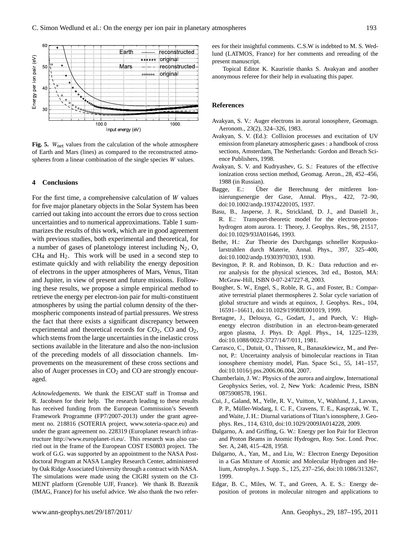

<span id="page-6-0"></span>Fig. 5. W<sub>net</sub> values from the calculation of the whole atmosphere of Earth and Mars (lines) as compared to the reconstructed atmospheres from a linear combination of the single species W values.

### **4 Conclusions**

For the first time, a comprehensive calculation of  $W$  values for five major planetary objects in the Solar System has been carried out taking into account the errors due to cross section uncertainties and to numerical approximations. Table [1](#page-1-0) summarizes the results of this work, which are in good agreement with previous studies, both experimental and theoretical, for a number of gases of planetology interest including  $N_2$ , O,  $CH<sub>4</sub>$  and  $H<sub>2</sub>$ . This work will be used in a second step to estimate quickly and with reliability the energy deposition of electrons in the upper atmospheres of Mars, Venus, Titan and Jupiter, in view of present and future missions. Following these results, we propose a simple empirical method to retrieve the energy per electron-ion pair for multi-constituent atmospheres by using the partial column density of the thermospheric components instead of partial pressures. We stress the fact that there exists a significant discrepancy between experimental and theoretical records for  $CO<sub>2</sub>$ ,  $CO$  and  $O<sub>2</sub>$ , which stems from the large uncertainties in the inelastic cross sections available in the literature and also the non-inclusion of the preceding models of all dissociation channels. Improvements on the measurement of these cross sections and also of Auger processes in  $CO<sub>2</sub>$  and  $CO$  are strongly encouraged.

*Acknowledgements.* We thank the EISCAT staff in Tromsø and R. Jacobsen for their help. The research leading to these results has received funding from the European Commission's Seventh Framework Programme (FP7/2007-2013) under the grant agreement no. 218816 (SOTERIA project, [www.soteria-space.eu\)](www.soteria-space.eu) and under the grant agreement no. 228319 (Europlanet research infrastructure [http://www.europlanet-ri.eu/.](http://www.europlanet-ri.eu/) This research was also carried out in the frame of the European COST ES0803 project. The work of G.G. was supported by an appointment to the NASA Postdoctoral Program at NASA Langley Research Center, administered by Oak Ridge Associated University through a contract with NASA. The simulations were made using the CIGRI system on the CI-MENT platform (Grenoble UJF, France). We thank B. Bzeznik (IMAG, France) for his useful advice. We also thank the two referees for their insightful comments. C.S.W is indebted to M. S. Wedlund (LATMOS, France) for her comments and rereading of the present manuscript.

Topical Editor K. Kauristie thanks S. Avakyan and another anonymous referee for their help in evaluating this paper.

#### **References**

- Avakyan, S. V.: Auger electrons in auroral ionosphere, Geomagn. Aeronom., 23(2), 324–326, 1983.
- Avakyan, S. V. (Ed.): Collision processes and excitation of UV emission from planetary atmospheric gases : a handbook of cross sections, Amsterdam, The Netherlands: Gordon and Breach Science Publishers, 1998.
- Avakyan, S. V. and Kudryashev, G. S.: Features of the effective ionization cross section method, Geomag. Aeron., 28, 452–456, 1988 (in Russian).
- Bagge, E.: Über die Berechnung der mittleren Ionisierungsenergie der Gase, Annal. Phys., 422, 72–90, doi:10.1002/andp.19374220105, 1937.
- Basu, B., Jasperse, J. R., Strickland, D. J., and Daniell Jr., R. E.: Transport-theoretic model for the electron-protonhydrogen atom aurora. 1: Theory, J. Geophys. Res., 98, 21517, doi:10.1029/93JA01646, 1993.
- Bethe, H.: Zur Theorie des Durchgangs schneller Korpuskularstrahlen durch Materie, Annal. Phys., 397, 325–400, doi:10.1002/andp.19303970303, 1930.
- Bevington, P. R. and Robinson, D. K.: Data reduction and error analysis for the physical sciences, 3rd ed., Boston, MA: McGraw-Hill, ISBN 0-07-247227-8, 2003.
- Bougher, S. W., Engel, S., Roble, R. G., and Foster, B.: Comparative terrestrial planet thermospheres 2. Solar cycle variation of global structure and winds at equinox, J. Geophys. Res., 104, 16591–16611, doi:10.1029/1998JE001019, 1999.
- Bretagne, J., Delouya, G., Godart, J., and Puech, V.: Highenergy electron distribution in an electron-beam-generated argon plasma, J. Phys. D: Appl. Phys., 14, 1225–1239, doi:10.1088/0022-3727/14/7/011, 1981.
- Carrasco, C., Dutuit, O., Thissen, R., Banaszkiewicz, M., and Pernot, P.: Uncertainty analysis of bimolecular reactions in Titan ionosphere chemistry model, Plan. Space Sci., 55, 141–157, doi:10.1016/j.pss.2006.06.004, 2007.
- Chamberlain, J. W.: Physics of the aurora and airglow, International Geophysics Series, vol. 2, New York: Academic Press, ISBN 0875908578, 1961.
- Cui, J., Galand, M., Yelle, R. V., Vuitton, V., Wahlund, J., Lavvas, P. P., Müller-Wodarg, I. C. F., Cravens, T. E., Kasprzak, W. T., and Waite, J. H.: Diurnal variations of Titan's ionosphere, J. Geophys. Res., 114, 6310, doi:10.1029/2009JA014228, 2009.
- Dalgarno, A. and Griffing, G. W.: Energy per Ion Pair for Electron and Proton Beams in Atomic Hydrogen, Roy. Soc. Lond. Proc. Ser. A, 248, 415–428, 1958.
- Dalgarno, A., Yan, M., and Liu, W.: Electron Energy Deposition in a Gas Mixture of Atomic and Molecular Hydrogen and Helium, Astrophys. J. Supp. S., 125, 237–256, doi:10.1086/313267, 1999.
- Edgar, B. C., Miles, W. T., and Green, A. E. S.: Energy deposition of protons in molecular nitrogen and applications to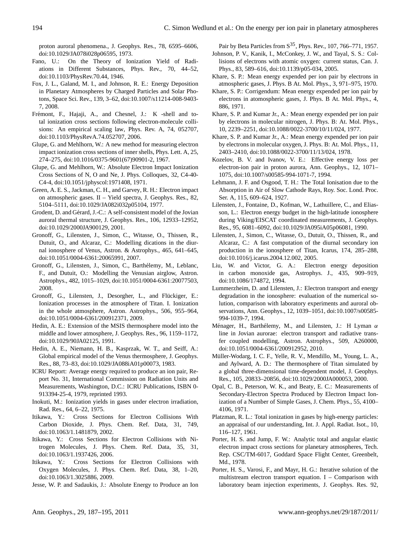proton auroral phenomena., J. Geophys. Res., 78, 6595–6606, doi:10.1029/JA078i028p06595, 1973.

- Fano, U.: On the Theory of Ionization Yield of Radiations in Different Substances, Phys. Rev., 70, 44–52, doi:10.1103/PhysRev.70.44, 1946.
- Fox, J. L., Galand, M. I., and Johnson, R. E.: Energy Deposition in Planetary Atmospheres by Charged Particles and Solar Photons, Space Sci. Rev., 139, 3–62, doi:10.1007/s11214-008-9403- 7, 2008.
- Frémont, F., Hajaji, A., and Chesnel, J.: K -shell and total ionization cross sections following electron-molecule collisions: An empirical scaling law, Phys. Rev. A, 74, 052707, doi:10.1103/PhysRevA.74.052707, 2006.
- Glupe, G. and Mehlhorn, W.: A new method for measuring electron impact ionization cross sections of inner shells, Phys. Lett. A, 25, 274–275, doi:10.1016/0375-9601(67)90901-2, 1967.
- Glupe, G. and Mehlhorn, W.: Absolute Electron Impact Ionization Cross Sections of N, O and Ne, J. Phys. Colloques, 32, C4-40- C4-4, doi:10.1051/jphyscol:1971408, 1971.
- Green, A. E. S., Jackman, C. H., and Garvey, R. H.: Electron impact on atmospheric gases. II – Yield spectra, J. Geophys. Res., 82, 5104–5111, doi:10.1029/JA082i032p05104, 1977.
- Grodent, D. and Gérard, J.-C.: A self-consistent model of the Jovian auroral thermal structure, J. Geophys. Res., 106, 12933–12952, doi:10.1029/2000JA900129, 2001.
- Gronoff, G., Lilensten, J., Simon, C., Witasse, O., Thissen, R., Dutuit, O., and Alcaraz, C.: Modelling dications in the diurnal ionosphere of Venus, Astron. & Astrophys., 465, 641–645, doi:10.1051/0004-6361:20065991, 2007.
- Gronoff, G., Lilensten, J., Simon, C., Barthelemy, M., Leblanc, ´ F., and Dutuit, O.: Modelling the Venusian airglow, Astron. Astrophys., 482, 1015–1029, doi:10.1051/0004-6361:20077503, 2008.
- Gronoff, G., Lilensten, J., Desorgher, L., and Flückiger, E.: Ionization processes in the atmosphere of Titan. I. Ionization in the whole atmosphere, Astron. Astrophys., 506, 955–964, doi:10.1051/0004-6361/200912371, 2009.
- Hedin, A. E.: Extension of the MSIS thermosphere model into the middle and lower atmosphere, J. Geophys. Res., 96, 1159–1172, doi:10.1029/90JA02125, 1991.
- Hedin, A. E., Niemann, H. B., Kasprzak, W. T., and Seiff, A.: Global empirical model of the Venus thermosphere, J. Geophys. Res., 88, 73–83, doi:10.1029/JA088iA01p00073, 1983.
- ICRU Report: Average energy required to produce an ion pair, Report No. 31, International Commission on Radiation Units and Measurements, Washington, D.C.: ICRU Publications, ISBN 0- 913394-25-4, 1979, reprinted 1993.
- Inokuti, M.: Ionization yields in gases under electron irradiation, Rad. Res., 64, 6–22, 1975.
- Itikawa, Y.: Cross Sections for Electron Collisions With Carbon Dioxide, J. Phys. Chem. Ref. Data, 31, 749, doi:10.1063/1.1481879, 2002.
- Itikawa, Y.: Cross Sections for Electron Collisions with Nitrogen Molecules, J. Phys. Chem. Ref. Data, 35, 31, doi:10.1063/1.1937426, 2006.
- Itikawa, Y.: Cross Sections for Electron Collisions with Oxygen Molecules, J. Phys. Chem. Ref. Data, 38, 1–20, doi:10.1063/1.3025886, 2009.
- Jesse, W. P. and Sadaukis, J.: Absolute Energy to Produce an Ion

Pair by Beta Particles from  $S^{35}$ , Phys. Rev., 107, 766–771, 1957.

- Johnson, P. V., Kanik, I., McConkey, J. W., and Tayal, S. S.: Collisions of electrons with atomic oxygen: current status, Can. J. Phys., 83, 589–616, doi:10.1139/p05-034, 2005.
- Khare, S. P.: Mean energy expended per ion pair by electrons in atmospheric gases, J. Phys. B At. Mol. Phys., 3, 971–975, 1970.
- Khare, S. P.: Corrigendum: Mean energy expended per ion pair by electrons in atomospheric gases, J. Phys. B At. Mol. Phys., 4, 886, 1971.
- Khare, S. P. and Kumar Jr., A.: Mean energy expended per ion pair by electrons in molecular nitrogen, J. Phys. B: At. Mol. Phys., 10, 2239–2251, doi:10.1088/0022-3700/10/11/024, 1977.
- Khare, S. P. and Kumar Jr., A.: Mean energy expended per ion pair by electrons in molecular oxygen, J. Phys. B: At. Mol. Phys., 11, 2403–2410, doi:10.1088/0022-3700/11/13/024, 1978.
- Kozelov, B. V. and Ivanov, V. E.: Effective energy loss per electron-ion pair in proton aurora, Ann. Geophys., 12, 1071– 1075, doi:10.1007/s00585-994-1071-7, 1994.
- Lehmann, J. F. and Osgood, T. H.: The Total Ionisation due to the Absorption in Air of Slow Cathode Rays, Roy. Soc. Lond. Proc. Ser. A, 115, 609–624, 1927.
- Lilensten, J., Fontaine, D., Kofman, W., Lathuillere, C., and Eliasson, L.: Electron energy budget in the high-latitude ionosphere during Viking/EISCAT coordinated measurements, J. Geophys. Res., 95, 6081–6092, doi:10.1029/JA095iA05p06081, 1990.
- Lilensten, J., Simon, C., Witasse, O., Dutuit, O., Thissen, R., and Alcaraz, C.: A fast computation of the diurnal secondary ion production in the ionosphere of Titan, Icarus, 174, 285–288, doi:10.1016/j.icarus.2004.12.002, 2005.
- Liu, W. and Victor, G. A.: Electron energy deposition in carbon monoxide gas, Astrophys. J., 435, 909–919, doi:10.1086/174872, 1994.
- Lummerzheim, D. and Lilensten, J.: Electron transport and energy degradation in the ionosphere: evaluation of the numerical solution, comparison with laboratory experiments and auroral observations, Ann. Geophys., 12, 1039–1051, doi:10.1007/s00585- 994-1039-7, 1994.
- Ménager, H., Barthélemy, M., and Lilensten, J.: H Lyman  $\alpha$ line in Jovian aurorae: electron transport and radiative transfer coupled modelling, Astron. Astrophys., 509, A260000, doi:10.1051/0004-6361/200912952, 2010.
- Muller-Wodarg, I. C. F., Yelle, R. V., Mendillo, M., Young, L. A., ¨ and Aylward, A. D.: The thermosphere of Titan simulated by a global three-dimensional time-dependent model, J. Geophys. Res., 105, 20833–20856, doi:10.1029/2000JA000053, 2000.
- Opal, C. B., Peterson, W. K., and Beaty, E. C.: Measurements of Secondary-Electron Spectra Produced by Electron Impact Ionization of a Number of Simple Gases, J. Chem. Phys., 55, 4100– 4106, 1971.
- Platzman, R. L.: Total ionization in gases by high-energy particles: an appraisal of our understanding, Int. J. Appl. Radiat. Isot., 10, 116–127, 1961.
- Porter, H. S. and Jump, F. W.: Analytic total and angular elastic electron impact cross sections for planetary atmospheres, Tech. Rep. CSC/TM-6017, Goddard Space Flight Center, Greenbelt, Md., 1978.
- Porter, H. S., Varosi, F., and Mayr, H. G.: Iterative solution of the multistream electron transport equation. I – Comparison with laboratory beam injection experiments, J. Geophys. Res. 92,